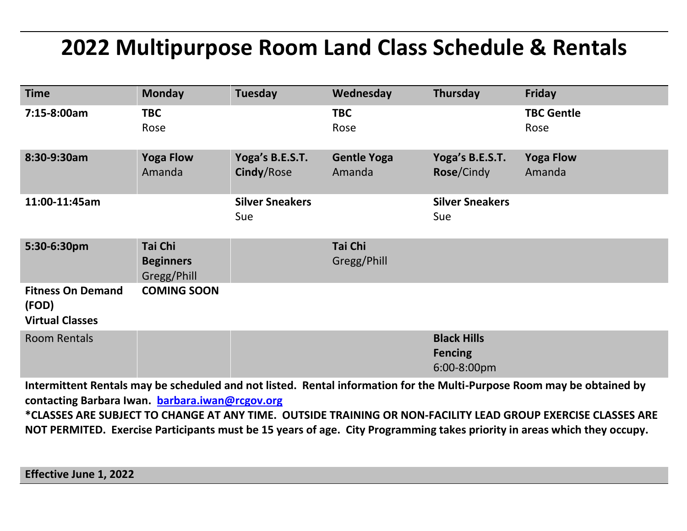## **2022 Multipurpose Room Land Class Schedule & Rentals**

| <b>Time</b>                                                 | <b>Monday</b>                              | Tuesday                       | Wednesday                    | Thursday                                            | Friday                     |
|-------------------------------------------------------------|--------------------------------------------|-------------------------------|------------------------------|-----------------------------------------------------|----------------------------|
| 7:15-8:00am                                                 | <b>TBC</b><br>Rose                         |                               | <b>TBC</b><br>Rose           |                                                     | <b>TBC Gentle</b><br>Rose  |
| 8:30-9:30am                                                 | <b>Yoga Flow</b><br>Amanda                 | Yoga's B.E.S.T.<br>Cindy/Rose | <b>Gentle Yoga</b><br>Amanda | Yoga's B.E.S.T.<br>Rose/Cindy                       | <b>Yoga Flow</b><br>Amanda |
| 11:00-11:45am                                               |                                            | <b>Silver Sneakers</b><br>Sue |                              | <b>Silver Sneakers</b><br>Sue                       |                            |
| 5:30-6:30pm                                                 | Tai Chi<br><b>Beginners</b><br>Gregg/Phill |                               | Tai Chi<br>Gregg/Phill       |                                                     |                            |
| <b>Fitness On Demand</b><br>(FOD)<br><b>Virtual Classes</b> | <b>COMING SOON</b>                         |                               |                              |                                                     |                            |
| <b>Room Rentals</b><br>$\cdots$ $\cdots$                    |                                            |                               |                              | <b>Black Hills</b><br><b>Fencing</b><br>6:00-8:00pm | .                          |

**Intermittent Rentals may be scheduled and not listed. Rental information for the Multi-Purpose Room may be obtained by contacting Barbara Iwan. [barbara.iwan@rcgov.org](mailto:barbara.iwan@rcgov.org)  \*CLASSES ARE SUBJECT TO CHANGE AT ANY TIME. OUTSIDE TRAINING OR NON-FACILITY LEAD GROUP EXERCISE CLASSES ARE NOT PERMITED. Exercise Participants must be 15 years of age. City Programming takes priority in areas which they occupy.**

**Effective June 1, 2022**